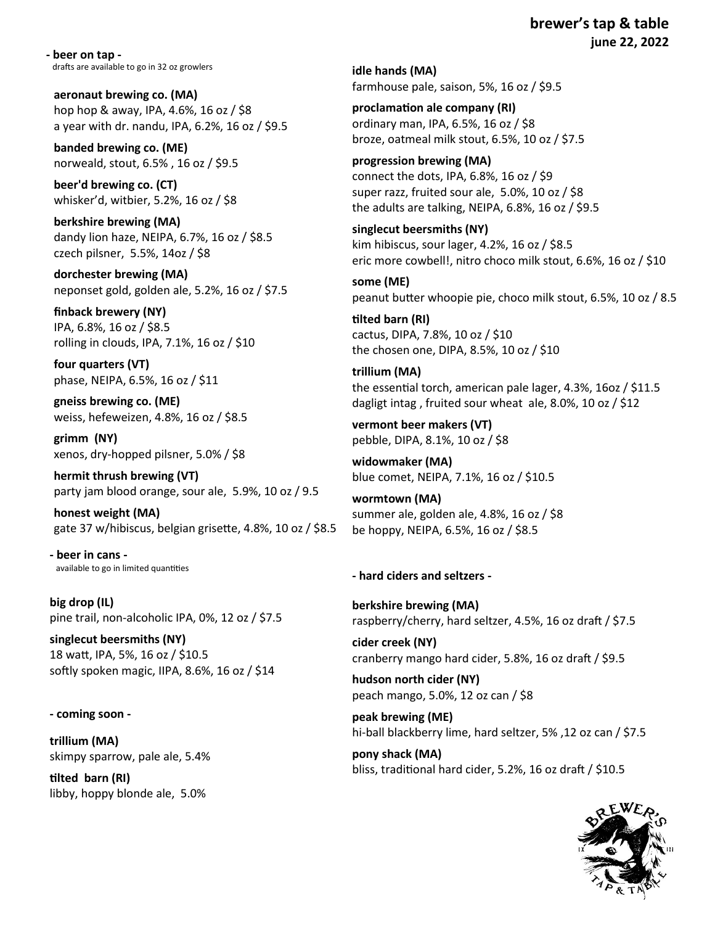**brewer's tap & table june 22, 2022**

**- beer on tap**  drafts are available to go in 32 oz growlers

**aeronaut brewing co. (MA)**  hop hop & away, IPA, 4.6%, 16 oz / \$8 a year with dr. nandu, IPA, 6.2%, 16 oz / \$9.5

**banded brewing co. (ME)**  norweald, stout, 6.5% , 16 oz / \$9.5

**beer'd brewing co. (CT)**  whisker'd, witbier, 5.2%, 16 oz / \$8

**berkshire brewing (MA)**  dandy lion haze, NEIPA, 6.7%, 16 oz / \$8.5 czech pilsner, 5.5%, 14oz / \$8

**dorchester brewing (MA)**  neponset gold, golden ale, 5.2%, 16 oz / \$7.5

**finback brewery (NY)**  IPA, 6.8%, 16 oz / \$8.5 rolling in clouds, IPA, 7.1%, 16 oz / \$10

**four quarters (VT)**  phase, NEIPA, 6.5%, 16 oz / \$11

**gneiss brewing co. (ME)**  weiss, hefeweizen, 4.8%, 16 oz / \$8.5

**grimm (NY)**  xenos, dry-hopped pilsner, 5.0% / \$8

**hermit thrush brewing (VT)**  party jam blood orange, sour ale, 5.9%, 10 oz / 9.5

**honest weight (MA)**  gate 37 w/hibiscus, belgian grisette, 4.8%, 10 oz / \$8.5

**- beer in cans**  available to go in limited quantities

**big drop (IL)**  pine trail, non-alcoholic IPA, 0%, 12 oz / \$7.5

**singlecut beersmiths (NY)**  18 watt, IPA, 5%, 16 oz / \$10.5 softly spoken magic, IIPA, 8.6%, 16 oz / \$14

#### **- coming soon -**

**trillium (MA)**  skimpy sparrow, pale ale, 5.4%

**tilted barn (RI)**  libby, hoppy blonde ale, 5.0% **idle hands (MA)**  farmhouse pale, saison, 5%, 16 oz / \$9.5

**proclamation ale company (RI)**  ordinary man, IPA, 6.5%, 16 oz / \$8 broze, oatmeal milk stout, 6.5%, 10 oz / \$7.5

**progression brewing (MA)**  connect the dots, IPA, 6.8%, 16 oz / \$9 super razz, fruited sour ale, 5.0%, 10 oz / \$8 the adults are talking, NEIPA, 6.8%, 16 oz / \$9.5

**singlecut beersmiths (NY)**  kim hibiscus, sour lager, 4.2%, 16 oz / \$8.5 eric more cowbell!, nitro choco milk stout, 6.6%, 16 oz / \$10

**some (ME)**  peanut butter whoopie pie, choco milk stout, 6.5%, 10 oz / 8.5

**tilted barn (RI)**  cactus, DIPA, 7.8%, 10 oz / \$10 the chosen one, DIPA, 8.5%, 10 oz / \$10

**trillium (MA)**  the essential torch, american pale lager, 4.3%, 16oz / \$11.5 dagligt intag , fruited sour wheat ale, 8.0%, 10 oz / \$12

**vermont beer makers (VT)**  pebble, DIPA, 8.1%, 10 oz / \$8

**widowmaker (MA)**  blue comet, NEIPA, 7.1%, 16 oz / \$10.5

**wormtown (MA)**  summer ale, golden ale, 4.8%, 16 oz / \$8 be hoppy, NEIPA, 6.5%, 16 oz / \$8.5

#### **- hard ciders and seltzers -**

**berkshire brewing (MA)**  raspberry/cherry, hard seltzer, 4.5%, 16 oz draft / \$7.5

**cider creek (NY)**  cranberry mango hard cider, 5.8%, 16 oz draft / \$9.5

**hudson north cider (NY)**  peach mango, 5.0%, 12 oz can / \$8

**peak brewing (ME)**  hi-ball blackberry lime, hard seltzer, 5% ,12 oz can / \$7.5

**pony shack (MA)**  bliss, traditional hard cider, 5.2%, 16 oz draft / \$10.5